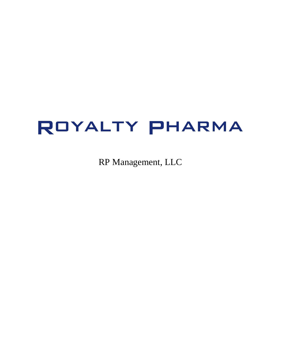# ROYALTY PHARMA

RP Management, LLC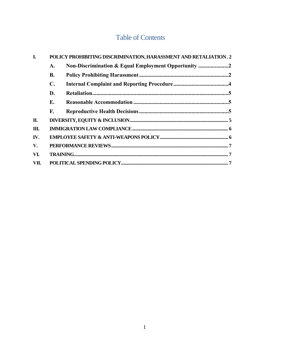# **Table of Contents**

| I.   | POLICY PROHIBITING DISCRIMINATION, HARASSMENT AND RETALIATION. 2 |                                                     |  |
|------|------------------------------------------------------------------|-----------------------------------------------------|--|
|      | А.                                                               | Non-Discrimination & Equal Employment Opportunity 2 |  |
|      | <b>B.</b>                                                        |                                                     |  |
|      | C.                                                               |                                                     |  |
|      | D.                                                               |                                                     |  |
|      | Е.                                                               |                                                     |  |
|      | F.                                                               |                                                     |  |
| П.   |                                                                  |                                                     |  |
| Ш.   |                                                                  |                                                     |  |
| IV.  |                                                                  |                                                     |  |
| V.   |                                                                  |                                                     |  |
| VI.  |                                                                  |                                                     |  |
| VII. |                                                                  |                                                     |  |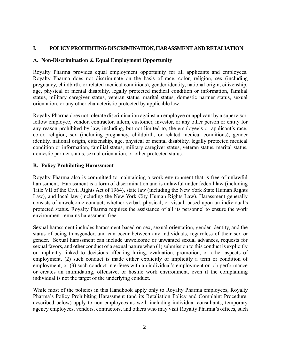#### <span id="page-2-0"></span>**I. POLICY PROHIBITING DISCRIMINATION, HARASSMENT AND RETALIATION**

#### <span id="page-2-1"></span>**A. Non-Discrimination & Equal Employment Opportunity**

Royalty Pharma provides equal employment opportunity for all applicants and employees. Royalty Pharma does not discriminate on the basis of race, color, religion, sex (including pregnancy, childbirth, or related medical conditions), gender identity, national origin, citizenship, age, physical or mental disability, legally protected medical condition or information, familial status, military caregiver status, veteran status, marital status, domestic partner status, sexual orientation, or any other characteristic protected by applicable law.

Royalty Pharma does not tolerate discrimination against an employee or applicant by a supervisor, fellow employee, vendor, contractor, intern, customer, investor, or any other person or entity for any reason prohibited by law, including, but not limited to, the employee's or applicant's race, color, religion, sex (including pregnancy, childbirth, or related medical conditions), gender identity, national origin, citizenship, age, physical or mental disability, legally protected medical condition or information, familial status, military caregiver status, veteran status, marital status, domestic partner status, sexual orientation, or other protected status.

#### <span id="page-2-2"></span>**B. Policy Prohibiting Harassment**

Royalty Pharma also is committed to maintaining a work environment that is free of unlawful harassment. Harassment is a form of discrimination and is unlawful under federal law (including Title VII of the Civil Rights Act of 1964), state law (including the New York State Human Rights Law), and local law (including the New York City Human Rights Law). Harassment generally consists of unwelcome conduct, whether verbal, physical, or visual, based upon an individual's protected status. Royalty Pharma requires the assistance of all its personnel to ensure the work environment remains harassment-free.

Sexual harassment includes harassment based on sex, sexual orientation, gender identity, and the status of being transgender, and can occur between any individuals, regardless of their sex or gender. Sexual harassment can include unwelcome or unwanted sexual advances, requests for sexual favors, and other conduct of a sexual nature when (1) submission to this conduct is explicitly or implicitly linked to decisions affecting hiring, evaluation, promotion, or other aspects of employment, (2) such conduct is made either explicitly or implicitly a term or condition of employment, or (3) such conduct interferes with an individual's employment or job performance or creates an intimidating, offensive, or hostile work environment, even if the complaining individual is not the target of the underlying conduct.

While most of the policies in this Handbook apply only to Royalty Pharma employees, Royalty Pharma's Policy Prohibiting Harassment (and its Retaliation Policy and Complaint Procedure, described below) apply to non-employees as well, including individual consultants, temporary agency employees, vendors, contractors, and others who may visit Royalty Pharma's offices, such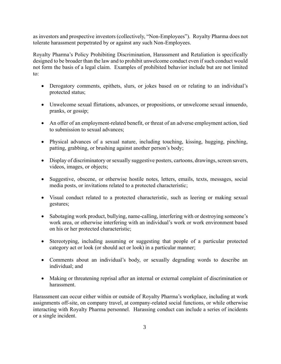as investors and prospective investors (collectively, "Non-Employees"). Royalty Pharma does not tolerate harassment perpetrated by or against any such Non-Employees.

Royalty Pharma's Policy Prohibiting Discrimination, Harassment and Retaliation is specifically designed to be broader than the law and to prohibit unwelcome conduct even if such conduct would not form the basis of a legal claim. Examples of prohibited behavior include but are not limited to:

- Derogatory comments, epithets, slurs, or jokes based on or relating to an individual's protected status;
- Unwelcome sexual flirtations, advances, or propositions, or unwelcome sexual innuendo, pranks, or gossip;
- An offer of an employment-related benefit, or threat of an adverse employment action, tied to submission to sexual advances;
- Physical advances of a sexual nature, including touching, kissing, hugging, pinching, patting, grabbing, or brushing against another person's body;
- Display of discriminatory or sexually suggestive posters, cartoons, drawings, screen savers, videos, images, or objects;
- Suggestive, obscene, or otherwise hostile notes, letters, emails, texts, messages, social media posts, or invitations related to a protected characteristic;
- Visual conduct related to a protected characteristic, such as leering or making sexual gestures;
- Sabotaging work product, bullying, name-calling, interfering with or destroying someone's work area, or otherwise interfering with an individual's work or work environment based on his or her protected characteristic;
- Stereotyping, including assuming or suggesting that people of a particular protected category act or look (or should act or look) in a particular manner;
- Comments about an individual's body, or sexually degrading words to describe an individual; and
- Making or threatening reprisal after an internal or external complaint of discrimination or harassment.

Harassment can occur either within or outside of Royalty Pharma's workplace, including at work assignments off-site, on company travel, at company-related social functions, or while otherwise interacting with Royalty Pharma personnel. Harassing conduct can include a series of incidents or a single incident.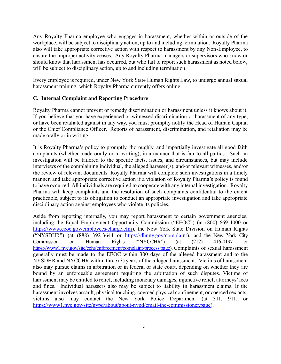Any Royalty Pharma employee who engages in harassment, whether within or outside of the workplace, will be subject to disciplinary action, up to and including termination. Royalty Pharma also will take appropriate corrective action with respect to harassment by any Non-Employee, to ensure the improper activity ceases. Any Royalty Pharma managers or supervisors who know or should know that harassment has occurred, but who fail to report such harassment as noted below, will be subject to disciplinary action, up to and including termination.

Every employee is required, under New York State Human Rights Law, to undergo annual sexual harassment training, which Royalty Pharma currently offers online.

#### <span id="page-4-0"></span>**C. Internal Complaint and Reporting Procedure**

Royalty Pharma cannot prevent or remedy discrimination or harassment unless it knows about it. If you believe that you have experienced or witnessed discrimination or harassment of any type, or have been retaliated against in any way, you must promptly notify the Head of Human Capital or the Chief Compliance Officer. Reports of harassment, discrimination, and retaliation may be made orally or in writing.

It is Royalty Pharma's policy to promptly, thoroughly, and impartially investigate all good faith complaints (whether made orally or in writing), in a manner that is fair to all parties. Such an investigation will be tailored to the specific facts, issues, and circumstances, but may include interviews of the complaining individual, the alleged harasser(s), and/or relevant witnesses, and/or the review of relevant documents. Royalty Pharma will complete such investigations in a timely manner, and take appropriate corrective action if a violation of Royalty Pharma's policy is found to have occurred. All individuals are required to cooperate with any internal investigation. Royalty Pharma will keep complaints and the resolution of such complaints confidential to the extent practicable, subject to its obligation to conduct an appropriate investigation and take appropriate disciplinary action against employees who violate its policies.

Aside from reporting internally, you may report harassment to certain government agencies, including the Equal Employment Opportunity Commission ("EEOC") (at (800) 669-4000 or [https://www.eeoc.gov/employees/charge.cfm\)](https://www.eeoc.gov/employees/charge.cfm), the New York State Division on Human Rights ("NYSDHR") (at (888) 392-3644 or [https://dhr.ny.gov/complaint\)](https://dhr.ny.gov/complaint), and the New York City Commission on Human Rights ("NYCCHR") (at (212) 416-0197 or [https://www1.nyc.gov/site/cchr/enforcement/complaint-process.page\)](https://www1.nyc.gov/site/cchr/enforcement/complaint-process.page). Complaints of sexual harassment generally must be made to the EEOC within 300 days of the alleged harassment and to the NYSDHR and NYCCHR within three (3) years of the alleged harassment. Victims of harassment also may pursue claims in arbitration or in federal or state court, depending on whether they are bound by an enforceable agreement requiring the arbitration of such disputes. Victims of harassment may be entitled to relief, including monetary damages, injunctive relief, attorneys' fees and fines. Individual harassers also may be subject to liability in harassment claims. If the harassment involves assault, physical touching, coerced physical confinement, or coerced sex acts, victims also may contact the New York Police Department (at 311, 911, or [https://www1.nyc.gov/site/nypd/about/about-nypd/email-the-commissioner.page\)](https://www1.nyc.gov/site/nypd/about/about-nypd/email-the-commissioner.page).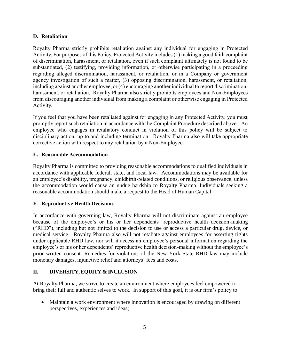#### <span id="page-5-0"></span>**D. Retaliation**

Royalty Pharma strictly prohibits retaliation against any individual for engaging in Protected Activity. For purposes of this Policy, Protected Activity includes (1) making a good faith complaint of discrimination, harassment, or retaliation, even if such complaint ultimately is not found to be substantiated, (2) testifying, providing information, or otherwise participating in a proceeding regarding alleged discrimination, harassment, or retaliation, or in a Company or government agency investigation of such a matter, (3) opposing discrimination, harassment, or retaliation, including against another employee, or (4) encouraging another individual to report discrimination, harassment, or retaliation. Royalty Pharma also strictly prohibits employees and Non-Employees from discouraging another individual from making a complaint or otherwise engaging in Protected Activity.

If you feel that you have been retaliated against for engaging in any Protected Activity, you must promptly report such retaliation in accordance with the Complaint Procedure described above. An employee who engages in retaliatory conduct in violation of this policy will be subject to disciplinary action, up to and including termination. Royalty Pharma also will take appropriate corrective action with respect to any retaliation by a Non-Employee.

#### <span id="page-5-1"></span>**E. Reasonable Accommodation**

Royalty Pharma is committed to providing reasonable accommodations to qualified individuals in accordance with applicable federal, state, and local law. Accommodations may be available for an employee's disability, pregnancy, childbirth-related conditions, or religious observance, unless the accommodation would cause an undue hardship to Royalty Pharma. Individuals seeking a reasonable accommodation should make a request to the Head of Human Capital.

#### <span id="page-5-2"></span>**F. Reproductive Health Decisions**

In accordance with governing law, Royalty Pharma will not discriminate against an employee because of the employee's or his or her dependents' reproductive health decision-making ("RHD"), including but not limited to the decision to use or access a particular drug, device, or medical service. Royalty Pharma also will not retaliate against employees for asserting rights under applicable RHD law, nor will it access an employee's personal information regarding the employee's or his or her dependents' reproductive health decision-making without the employee's prior written consent. Remedies for violations of the New York State RHD law may include monetary damages, injunctive relief and attorneys' fees and costs.

#### <span id="page-5-3"></span>**II. DIVERSITY, EQUITY & INCLUSION**

At Royalty Pharma, we strive to create an environment where employees feel empowered to bring their full and authentic selves to work. In support of this goal, it is our firm's policy to:

• Maintain a work environment where innovation is encouraged by drawing on different perspectives, experiences and ideas;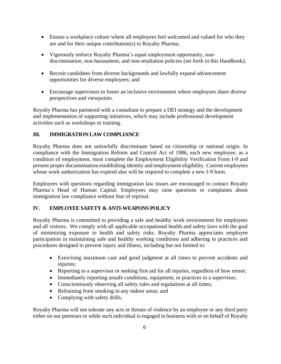- Ensure a workplace culture where all employees feel welcomed and valued for who they are and for their unique contribution(s) to Royalty Pharma;
- Vigorously enforce Royalty Pharma's equal employment opportunity, nondiscrimination, non-harassment, and non-retaliation policies (set forth in this Handbook);
- Recruit candidates from diverse backgrounds and lawfully expand advancement opportunities for diverse employees; and
- Encourage supervisors to foster an inclusive environment where employees share diverse perspectives and viewpoints.

Royalty Pharma has partnered with a consultant to prepare a DEI strategy and the development and implementation of supporting initiatives, which may include professional development activities such as workshops or training.

# <span id="page-6-0"></span>**III. IMMIGRATION LAW COMPLIANCE**

Royalty Pharma does not unlawfully discriminate based on citizenship or national origin. In compliance with the Immigration Reform and Control Act of 1986, each new employee, as a condition of employment, must complete the Employment Eligibility Verification Form I-9 and present proper documentation establishing identity and employment eligibility. Current employees whose work authorization has expired also will be required to complete a new I-9 form.

Employees with questions regarding immigration law issues are encouraged to contact Royalty Pharma's Head of Human Capital. Employees may raise questions or complaints about immigration law compliance without fear of reprisal.

## <span id="page-6-1"></span>**IV. EMPLOYEE SAFETY & ANTI-WEAPONS POLICY**

Royalty Pharma is committed to providing a safe and healthy work environment for employees and all visitors. We comply with all applicable occupational health and safety laws with the goal of minimizing exposure to health and safety risks. Royalty Pharma appreciates employee participation in maintaining safe and healthy working conditions and adhering to practices and procedures designed to prevent injury and illness, including but not limited to:

- Exercising maximum care and good judgment at all times to prevent accidents and injuries;
- Reporting to a supervisor or seeking first aid for all injuries, regardless of how minor;
- Immediately reporting unsafe conditions, equipment, or practices to a supervisor;
- Conscientiously observing all safety rules and regulations at all times;
- Refraining from smoking in any indoor areas; and
- Complying with safety drills.

Royalty Pharma will not tolerate any acts or threats of violence by an employee or any third party either on our premises or while such individual is engaged in business with or on behalf of Royalty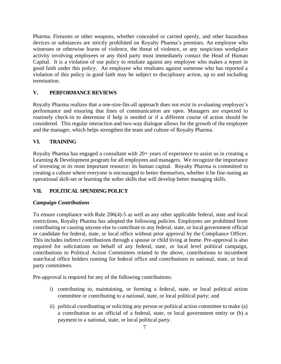Pharma. Firearms or other weapons, whether concealed or carried openly, and other hazardous devices or substances are strictly prohibited on Royalty Pharma's premises. An employee who witnesses or otherwise learns of violence, the threat of violence, or any suspicious workplace activity involving employees or any third party must immediately contact the Head of Human Capital. It is a violation of our policy to retaliate against any employee who makes a report in good faith under this policy. An employee who retaliates against someone who has reported a violation of this policy in good faith may be subject to disciplinary action, up to and including termination.

#### <span id="page-7-0"></span>**V. PERFORMANCE REVIEWS**

Royalty Pharma realizes that a one-size-fits-all approach does not exist in evaluating employee's performance and ensuring that lines of communication are open. Managers are expected to routinely check-in to determine if help is needed or if a different course of action should be considered. This regular interaction and two-way dialogue allows for the growth of the employee and the manager, which helps strengthen the team and culture of Royalty Pharma.

#### <span id="page-7-1"></span>**VI. TRAINING**

Royalty Pharma has engaged a consultant with 20+ years of experience to assist us in creating a Learning & Development program for all employees and managers. We recognize the importance of investing in its most important resource: its human capital. Royalty Pharma is committed to creating a culture where everyone is encouraged to better themselves, whether it be fine-tuning an operational skill-set or learning the softer skills that will develop better managing skills.

## <span id="page-7-2"></span>**VII. POLITICAL SPENDING POLICY**

#### *Campaign Contributions*

To ensure compliance with Rule 206(4)-5 as well as any other applicable federal, state and local restrictions, Royalty Pharma has adopted the following policies. Employees are prohibited from contributing or causing anyone else to contribute to any federal, state, or local government official or candidate for federal, state, or local office without prior approval by the Compliance Officer. This includes indirect contributions through a spouse or child living at home. Pre-approval is also required for solicitations on behalf of any federal, state, or local level political campaign, contributions to Political Action Committees related to the above, contributions to incumbent state/local office holders running for federal office and contributions to national, state, or local party committees.

Pre-approval is required for any of the following contributions:

- i) contributing to, maintaining, or forming a federal, state, or local political action committee or contributing to a national, state, or local political party; and
- ii) political coordinating or soliciting any person or political action committee to make (a) a contribution to an official of a federal, state, or local government entity or (b) a payment to a national, state, or local political party.